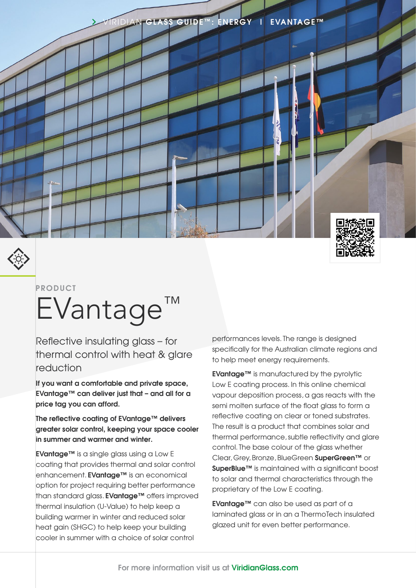



#### **PRODUCT**

# EVantage<sup>™</sup>

Reflective insulating glass – for thermal control with heat & glare reduction

**If you want a comfortable and private space, EVantage™ can deliver just that – and all for a price tag you can afford.**

**The reflective coating of EVantage™ delivers greater solar control, keeping your space cooler in summer and warmer and winter.**

**EVantage™** is a single glass using a Low E coating that provides thermal and solar control enhancement. **EVantage™** is an economical option for project requiring better performance than standard glass. **EVantage™** offers improved thermal insulation (U-Value) to help keep a building warmer in winter and reduced solar heat gain (SHGC) to help keep your building cooler in summer with a choice of solar control

performances levels. The range is designed specifically for the Australian climate regions and to help meet energy requirements.

**EVantage™** is manufactured by the pyrolytic Low E coating process. In this online chemical vapour deposition process, a gas reacts with the semi molten surface of the float glass to form a reflective coating on clear or toned substrates. The result is a product that combines solar and thermal performance, subtle reflectivity and glare control. The base colour of the glass whether Clear, Grey, Bronze, BlueGreen **SuperGreen™** or **SuperBlue™** is maintained with a sianificant boost to solar and thermal characteristics through the proprietary of the Low E coating.

**EVantage™** can also be used as part of a laminated glass or in an a ThermoTech insulated glazed unit for even better performance.